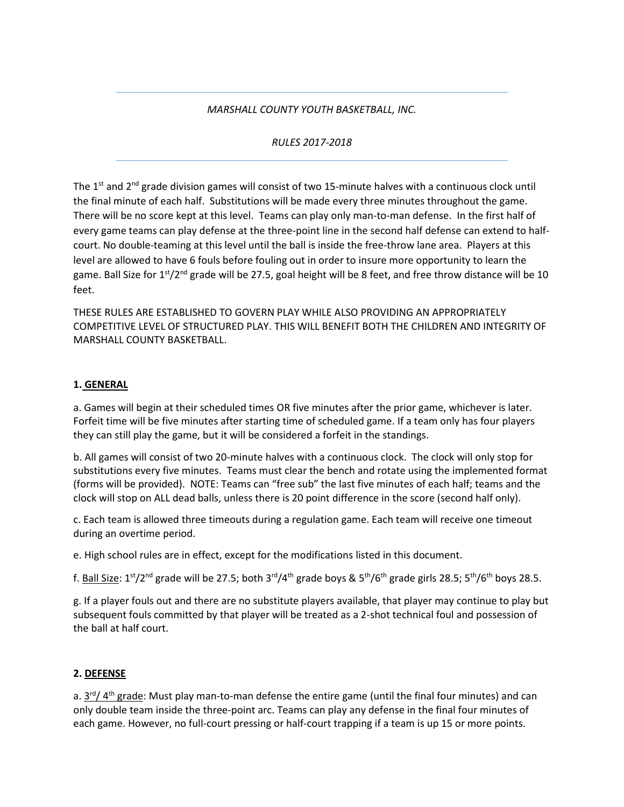#### *MARSHALL COUNTY YOUTH BASKETBALL, INC.*

#### *RULES 2017-2018*

The 1<sup>st</sup> and 2<sup>nd</sup> grade division games will consist of two 15-minute halves with a continuous clock until the final minute of each half. Substitutions will be made every three minutes throughout the game. There will be no score kept at this level. Teams can play only man-to-man defense. In the first half of every game teams can play defense at the three-point line in the second half defense can extend to halfcourt. No double-teaming at this level until the ball is inside the free-throw lane area. Players at this level are allowed to have 6 fouls before fouling out in order to insure more opportunity to learn the game. Ball Size for  $1^{st}/2^{nd}$  grade will be 27.5, goal height will be 8 feet, and free throw distance will be 10 feet.

THESE RULES ARE ESTABLISHED TO GOVERN PLAY WHILE ALSO PROVIDING AN APPROPRIATELY COMPETITIVE LEVEL OF STRUCTURED PLAY. THIS WILL BENEFIT BOTH THE CHILDREN AND INTEGRITY OF MARSHALL COUNTY BASKETBALL.

#### **1. GENERAL**

a. Games will begin at their scheduled times OR five minutes after the prior game, whichever is later. Forfeit time will be five minutes after starting time of scheduled game. If a team only has four players they can still play the game, but it will be considered a forfeit in the standings.

b. All games will consist of two 20-minute halves with a continuous clock. The clock will only stop for substitutions every five minutes. Teams must clear the bench and rotate using the implemented format (forms will be provided). NOTE: Teams can "free sub" the last five minutes of each half; teams and the clock will stop on ALL dead balls, unless there is 20 point difference in the score (second half only).

c. Each team is allowed three timeouts during a regulation game. Each team will receive one timeout during an overtime period.

e. High school rules are in effect, except for the modifications listed in this document.

f. <u>Ball Size</u>: 1st/2<sup>nd</sup> grade will be 27.5; both 3<sup>rd</sup>/4<sup>th</sup> grade boys & 5<sup>th</sup>/6<sup>th</sup> grade girls 28.5; 5<sup>th</sup>/6<sup>th</sup> boys 28.5.

g. If a player fouls out and there are no substitute players available, that player may continue to play but subsequent fouls committed by that player will be treated as a 2-shot technical foul and possession of the ball at half court.

#### **2. DEFENSE**

a. 3<sup>rd</sup>/ 4<sup>th</sup> grade: Must play man-to-man defense the entire game (until the final four minutes) and can only double team inside the three-point arc. Teams can play any defense in the final four minutes of each game. However, no full-court pressing or half-court trapping if a team is up 15 or more points.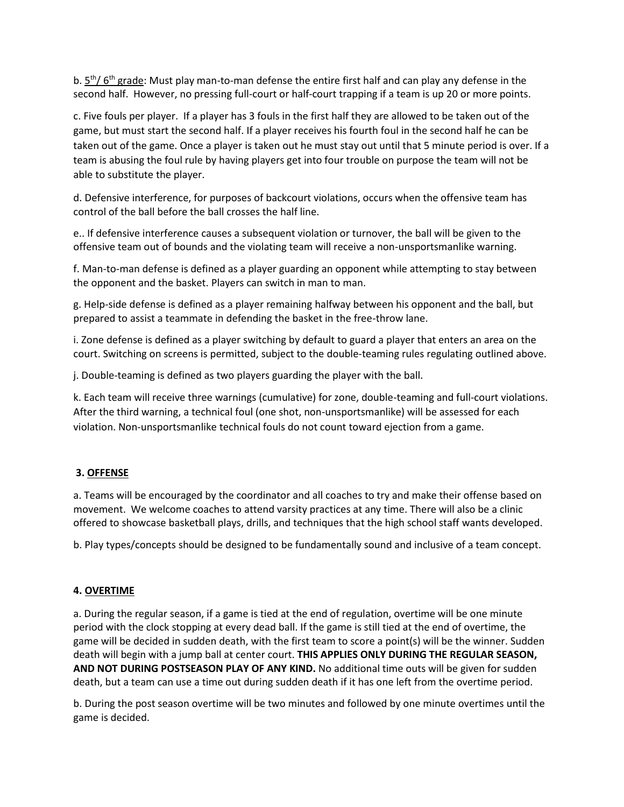b.  $5<sup>th</sup>/ 6<sup>th</sup>$  grade: Must play man-to-man defense the entire first half and can play any defense in the second half. However, no pressing full-court or half-court trapping if a team is up 20 or more points.

c. Five fouls per player. If a player has 3 fouls in the first half they are allowed to be taken out of the game, but must start the second half. If a player receives his fourth foul in the second half he can be taken out of the game. Once a player is taken out he must stay out until that 5 minute period is over. If a team is abusing the foul rule by having players get into four trouble on purpose the team will not be able to substitute the player.

d. Defensive interference, for purposes of backcourt violations, occurs when the offensive team has control of the ball before the ball crosses the half line.

e.. If defensive interference causes a subsequent violation or turnover, the ball will be given to the offensive team out of bounds and the violating team will receive a non-unsportsmanlike warning.

f. Man-to-man defense is defined as a player guarding an opponent while attempting to stay between the opponent and the basket. Players can switch in man to man.

g. Help-side defense is defined as a player remaining halfway between his opponent and the ball, but prepared to assist a teammate in defending the basket in the free-throw lane.

i. Zone defense is defined as a player switching by default to guard a player that enters an area on the court. Switching on screens is permitted, subject to the double-teaming rules regulating outlined above.

j. Double-teaming is defined as two players guarding the player with the ball.

k. Each team will receive three warnings (cumulative) for zone, double-teaming and full-court violations. After the third warning, a technical foul (one shot, non-unsportsmanlike) will be assessed for each violation. Non-unsportsmanlike technical fouls do not count toward ejection from a game.

### **3. OFFENSE**

a. Teams will be encouraged by the coordinator and all coaches to try and make their offense based on movement. We welcome coaches to attend varsity practices at any time. There will also be a clinic offered to showcase basketball plays, drills, and techniques that the high school staff wants developed.

b. Play types/concepts should be designed to be fundamentally sound and inclusive of a team concept.

### **4. OVERTIME**

a. During the regular season, if a game is tied at the end of regulation, overtime will be one minute period with the clock stopping at every dead ball. If the game is still tied at the end of overtime, the game will be decided in sudden death, with the first team to score a point(s) will be the winner. Sudden death will begin with a jump ball at center court. **THIS APPLIES ONLY DURING THE REGULAR SEASON, AND NOT DURING POSTSEASON PLAY OF ANY KIND.** No additional time outs will be given for sudden death, but a team can use a time out during sudden death if it has one left from the overtime period.

b. During the post season overtime will be two minutes and followed by one minute overtimes until the game is decided.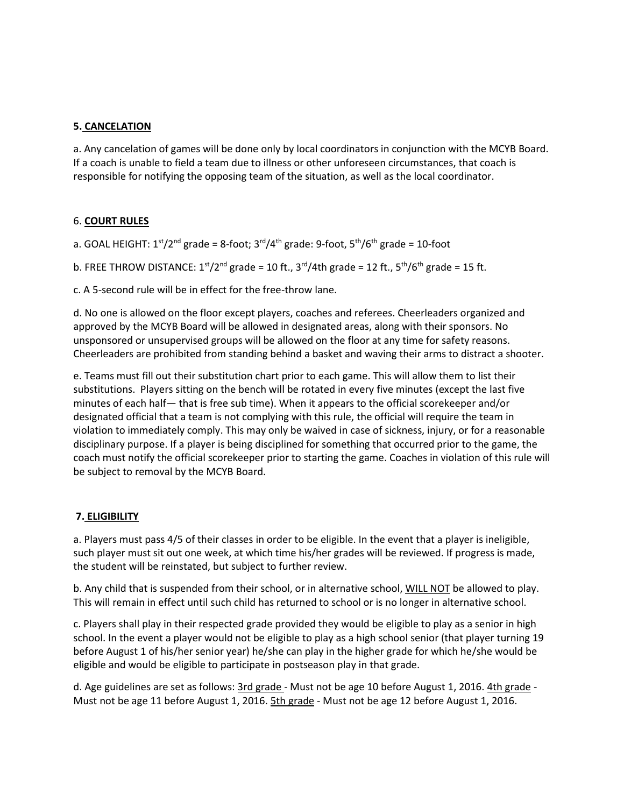# **5. CANCELATION**

a. Any cancelation of games will be done only by local coordinators in conjunction with the MCYB Board. If a coach is unable to field a team due to illness or other unforeseen circumstances, that coach is responsible for notifying the opposing team of the situation, as well as the local coordinator.

### 6. **COURT RULES**

a. GOAL HEIGHT: 1<sup>st</sup>/2<sup>nd</sup> grade = 8-foot; 3<sup>rd</sup>/4<sup>th</sup> grade: 9-foot, 5<sup>th</sup>/6<sup>th</sup> grade = 10-foot

b. FREE THROW DISTANCE:  $1<sup>st</sup>/2<sup>nd</sup>$  grade = 10 ft., 3<sup>rd</sup>/4th grade = 12 ft., 5<sup>th</sup>/6<sup>th</sup> grade = 15 ft.

c. A 5-second rule will be in effect for the free-throw lane.

d. No one is allowed on the floor except players, coaches and referees. Cheerleaders organized and approved by the MCYB Board will be allowed in designated areas, along with their sponsors. No unsponsored or unsupervised groups will be allowed on the floor at any time for safety reasons. Cheerleaders are prohibited from standing behind a basket and waving their arms to distract a shooter.

e. Teams must fill out their substitution chart prior to each game. This will allow them to list their substitutions. Players sitting on the bench will be rotated in every five minutes (except the last five minutes of each half— that is free sub time). When it appears to the official scorekeeper and/or designated official that a team is not complying with this rule, the official will require the team in violation to immediately comply. This may only be waived in case of sickness, injury, or for a reasonable disciplinary purpose. If a player is being disciplined for something that occurred prior to the game, the coach must notify the official scorekeeper prior to starting the game. Coaches in violation of this rule will be subject to removal by the MCYB Board.

### **7. ELIGIBILITY**

a. Players must pass 4/5 of their classes in order to be eligible. In the event that a player is ineligible, such player must sit out one week, at which time his/her grades will be reviewed. If progress is made, the student will be reinstated, but subject to further review.

b. Any child that is suspended from their school, or in alternative school, WILL NOT be allowed to play. This will remain in effect until such child has returned to school or is no longer in alternative school.

c. Players shall play in their respected grade provided they would be eligible to play as a senior in high school. In the event a player would not be eligible to play as a high school senior (that player turning 19 before August 1 of his/her senior year) he/she can play in the higher grade for which he/she would be eligible and would be eligible to participate in postseason play in that grade.

d. Age guidelines are set as follows: 3rd grade - Must not be age 10 before August 1, 2016. 4th grade -Must not be age 11 before August 1, 2016. **5th grade** - Must not be age 12 before August 1, 2016.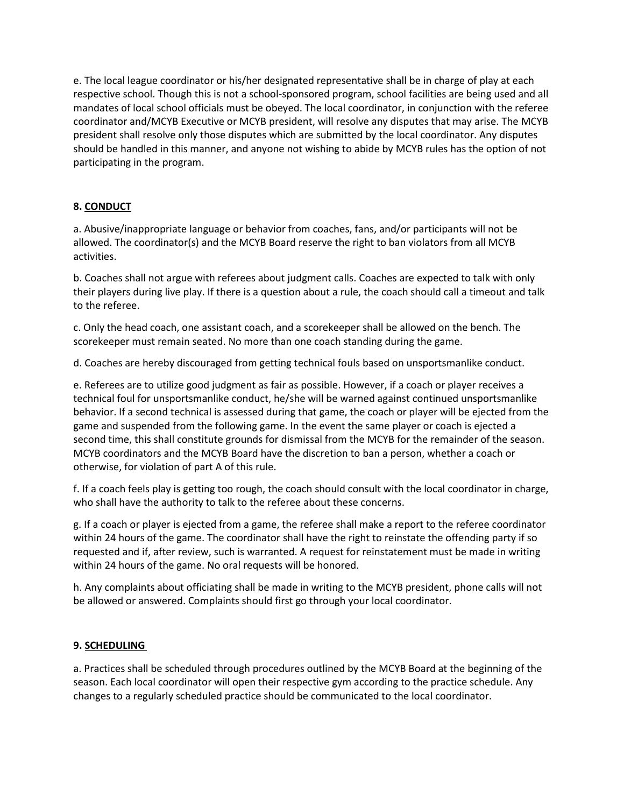e. The local league coordinator or his/her designated representative shall be in charge of play at each respective school. Though this is not a school-sponsored program, school facilities are being used and all mandates of local school officials must be obeyed. The local coordinator, in conjunction with the referee coordinator and/MCYB Executive or MCYB president, will resolve any disputes that may arise. The MCYB president shall resolve only those disputes which are submitted by the local coordinator. Any disputes should be handled in this manner, and anyone not wishing to abide by MCYB rules has the option of not participating in the program.

# **8. CONDUCT**

a. Abusive/inappropriate language or behavior from coaches, fans, and/or participants will not be allowed. The coordinator(s) and the MCYB Board reserve the right to ban violators from all MCYB activities.

b. Coaches shall not argue with referees about judgment calls. Coaches are expected to talk with only their players during live play. If there is a question about a rule, the coach should call a timeout and talk to the referee.

c. Only the head coach, one assistant coach, and a scorekeeper shall be allowed on the bench. The scorekeeper must remain seated. No more than one coach standing during the game.

d. Coaches are hereby discouraged from getting technical fouls based on unsportsmanlike conduct.

e. Referees are to utilize good judgment as fair as possible. However, if a coach or player receives a technical foul for unsportsmanlike conduct, he/she will be warned against continued unsportsmanlike behavior. If a second technical is assessed during that game, the coach or player will be ejected from the game and suspended from the following game. In the event the same player or coach is ejected a second time, this shall constitute grounds for dismissal from the MCYB for the remainder of the season. MCYB coordinators and the MCYB Board have the discretion to ban a person, whether a coach or otherwise, for violation of part A of this rule.

f. If a coach feels play is getting too rough, the coach should consult with the local coordinator in charge, who shall have the authority to talk to the referee about these concerns.

g. If a coach or player is ejected from a game, the referee shall make a report to the referee coordinator within 24 hours of the game. The coordinator shall have the right to reinstate the offending party if so requested and if, after review, such is warranted. A request for reinstatement must be made in writing within 24 hours of the game. No oral requests will be honored.

h. Any complaints about officiating shall be made in writing to the MCYB president, phone calls will not be allowed or answered. Complaints should first go through your local coordinator.

# **9. SCHEDULING**

a. Practices shall be scheduled through procedures outlined by the MCYB Board at the beginning of the season. Each local coordinator will open their respective gym according to the practice schedule. Any changes to a regularly scheduled practice should be communicated to the local coordinator.